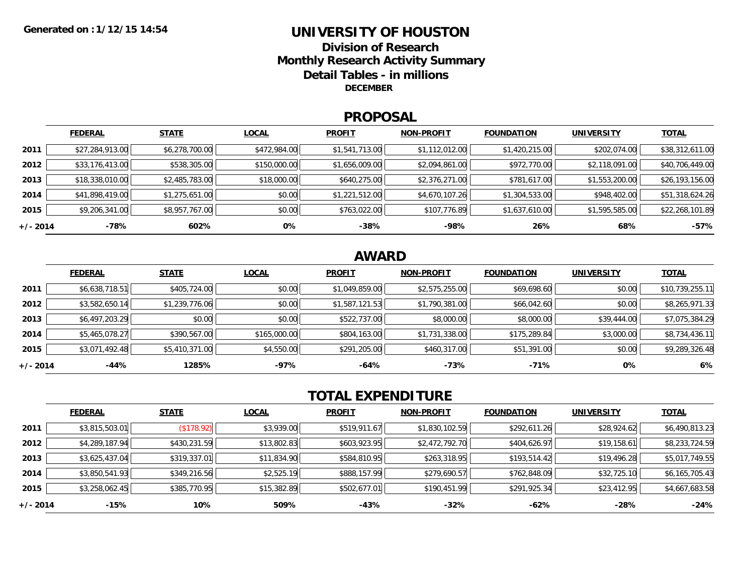### **UNIVERSITY OF HOUSTONDivision of ResearchMonthly Research Activity Summary Detail Tables - in millions DECEMBER**

#### **PROPOSAL**

|            | <b>FEDERAL</b>  | <b>STATE</b>   | <b>LOCAL</b> | <b>PROFIT</b>  | <b>NON-PROFIT</b> | <b>FOUNDATION</b> | <b>UNIVERSITY</b> | <u>TOTAL</u>    |
|------------|-----------------|----------------|--------------|----------------|-------------------|-------------------|-------------------|-----------------|
| 2011       | \$27,284,913.00 | \$6,278,700.00 | \$472,984.00 | \$1,541,713.00 | \$1,112,012.00    | \$1,420,215.00    | \$202,074.00      | \$38,312,611.00 |
| 2012       | \$33,176,413.00 | \$538,305.00   | \$150,000.00 | \$1,656,009.00 | \$2,094,861.00    | \$972,770.00      | \$2,118,091.00    | \$40,706,449.00 |
| 2013       | \$18,338,010.00 | \$2,485,783.00 | \$18,000.00  | \$640,275.00   | \$2,376,271.00    | \$781,617.00      | \$1,553,200.00    | \$26,193,156.00 |
| 2014       | \$41,898,419.00 | \$1,275,651.00 | \$0.00       | \$1,221,512.00 | \$4,670,107.26    | \$1,304,533.00    | \$948,402.00      | \$51,318,624.26 |
| 2015       | \$9,206,341.00  | \$8,957,767.00 | \$0.00       | \$763,022.00   | \$107,776.89      | \$1,637,610.00    | \$1,595,585.00    | \$22,268,101.89 |
| $+/- 2014$ | -78%            | 602%           | 0%           | $-38%$         | -98%              | 26%               | 68%               | $-57%$          |

## **AWARD**

|          | <b>FEDERAL</b> | <b>STATE</b>   | <b>LOCAL</b> | <b>PROFIT</b>  | <b>NON-PROFIT</b> | <b>FOUNDATION</b> | <b>UNIVERSITY</b> | <b>TOTAL</b>    |
|----------|----------------|----------------|--------------|----------------|-------------------|-------------------|-------------------|-----------------|
| 2011     | \$6,638,718.51 | \$405,724.00   | \$0.00       | \$1,049,859.00 | \$2,575,255.00    | \$69,698.60       | \$0.00            | \$10,739,255.11 |
| 2012     | \$3,582,650.14 | \$1,239,776.06 | \$0.00       | \$1,587,121.53 | \$1,790,381.00    | \$66,042.60       | \$0.00            | \$8,265,971.33  |
| 2013     | \$6,497,203.29 | \$0.00         | \$0.00       | \$522,737.00   | \$8,000.00        | \$8,000.00        | \$39,444.00       | \$7,075,384.29  |
| 2014     | \$5,465,078.27 | \$390,567.00   | \$165,000.00 | \$804,163.00   | \$1,731,338.00    | \$175,289.84      | \$3,000.00        | \$8,734,436.11  |
| 2015     | \$3,071,492.48 | \$5,410,371.00 | \$4,550.00   | \$291,205.00   | \$460,317.00      | \$51,391.00       | \$0.00            | \$9,289,326.48  |
| +/- 2014 | -44%           | 1285%          | -97%         | $-64%$         | -73%              | $-71%$            | 0%                | 6%              |

# **TOTAL EXPENDITURE**

|          | <b>FEDERAL</b> | <b>STATE</b>          | <b>LOCAL</b> | <b>PROFIT</b> | <b>NON-PROFIT</b> | <b>FOUNDATION</b> | <b>UNIVERSITY</b> | <b>TOTAL</b>   |
|----------|----------------|-----------------------|--------------|---------------|-------------------|-------------------|-------------------|----------------|
| 2011     | \$3,815,503.01 | $($ \$178.92) $\vert$ | \$3,939.00   | \$519,911.67  | \$1,830,102.59    | \$292,611.26      | \$28,924.62       | \$6,490,813.23 |
| 2012     | \$4,289,187.94 | \$430,231.59          | \$13,802.83  | \$603,923.95  | \$2,472,792.70    | \$404,626.97      | \$19,158.61       | \$8,233,724.59 |
| 2013     | \$3,625,437.04 | \$319,337.01          | \$11,834.90  | \$584,810.95  | \$263,318.95      | \$193,514.42      | \$19,496.28       | \$5,017,749.55 |
| 2014     | \$3,850,541.93 | \$349,216.56          | \$2,525.19   | \$888,157.99  | \$279,690.57      | \$762,848.09      | \$32,725.10       | \$6,165,705.43 |
| 2015     | \$3,258,062.45 | \$385,770.95          | \$15,382.89  | \$502,677.01  | \$190,451.99      | \$291,925.34      | \$23,412.95       | \$4,667,683.58 |
| +/- 2014 | $-15%$         | 10%                   | 509%         | -43%          | $-32%$            | -62%              | -28%              | $-24%$         |